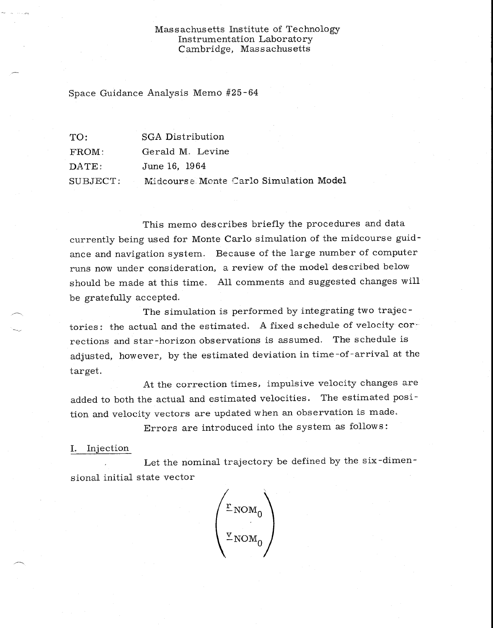## Massachusetts Institute of Technology Instrumentation Laboratory Cambridge, Massachusetts

Space Guidance Analysis Memo #25-64

| TO:      | SGA Distribution                       |
|----------|----------------------------------------|
| FROM:    | Gerald M. Levine                       |
| DATE:    | June 16, 1964                          |
| SUBJECT: | Midcourse Monte Carlo Simulation Model |

This memo describes briefly the procedures and data currently being used for Monte Carlo simulation of the midcourse guidance and navigation system. Because of the large number of computer runs now under consideration, a review of the model described below should be made at this time. All comments and suggested changes will be gratefully accepted.

The simulation is performed by integrating two trajectories: the actual and the estimated. A fixed schedule of velocity corrections and star-horizon observations is assumed. The schedule is adjusted, however, by the estimated deviation in time-of-arrival at the target.

At the correction times, impulsive velocity changes are added to both the actual and estimated velocities. The estimated position and velocity vectors are updated when an observation is made.

Errors are introduced into the system as follows:

I. Injection

Let the nominal trajectory be defined by the six-dimensional initial state vector

 $NOM_0$  $-<sub>NOM<sub>0</sub></sub>$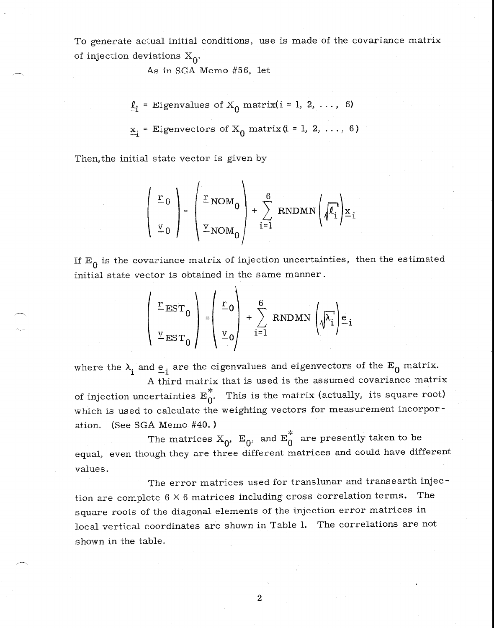To generate actual initial conditions, use is made of the covariance matrix of injection deviations  $X_0$ .

As in SGA Memo #56, let

$$
\underline{\ell}_i = \text{Eigenvalues of } X_0 \text{ matrix} (i = 1, 2, ..., 6)
$$
  

$$
\underline{x}_i = \text{Eigenvectors of } X_0 \text{ matrix} (i = 1, 2, ..., 6)
$$

Then,the initial state vector is given by

$$
\begin{pmatrix} \mathbf{r}_0 \\ \mathbf{v}_0 \end{pmatrix} = \begin{pmatrix} \mathbf{r}_{\text{NOM}_0} \\ \mathbf{v}_{\text{NOM}_0} \end{pmatrix} + \sum_{i=1}^{6} \text{RNDMN} \left( \sqrt{\ell_i} \right) \mathbf{x}_i
$$

If  $E_0$  is the covariance matrix of injection uncertainties, then the estimated initial state vector is obtained in the same manner .

$$
\begin{pmatrix}\n\mathbf{r}_{EST_0} \\
\mathbf{v}_{EST_0}\n\end{pmatrix} = \begin{pmatrix}\n\mathbf{r}_0 \\
\mathbf{v}_0\n\end{pmatrix} + \sum_{i=1}^{6} \text{RNDMN} \left(\sqrt{\lambda_i}\right) \mathbf{e}_i
$$

where the  $\lambda_i$  and  $e_i$  are the eigenvalues and eigenvectors of the  $E_0$  matrix. A third matrix that is used is the assumed covariance matrix

of injection uncertainties  $E_0^*$ . This is the matrix (actually, its square root) which is used to calculate the weighting vectors for measurement incorporation. (See SGA Memo #40. )

The matrices  $X_0$ ,  $E_0$ , and  $E_0^*$  are presently taken to be equal, even though they are three different matrices and could have different values.

The error matrices used for translunar and transearth injection are complete  $6 \times 6$  matrices including cross correlation terms. The square roots of the diagonal elements of the injection error matrices in local vertical coordinates are shown in Table 1. The correlations are not shown in the table.

2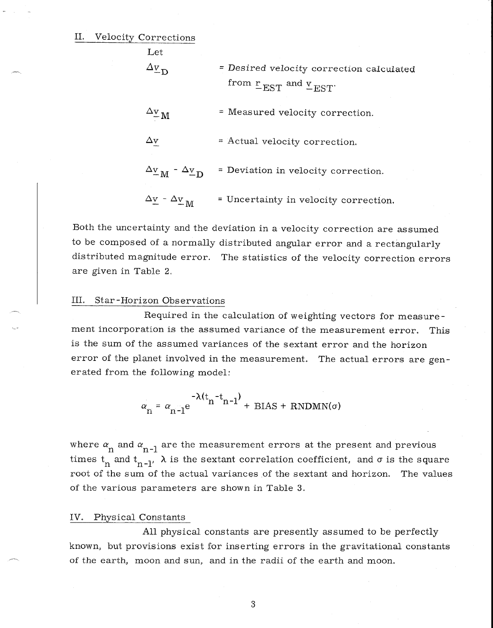II. Velocity Corrections

| Let                                                                                             |                                                                                           |
|-------------------------------------------------------------------------------------------------|-------------------------------------------------------------------------------------------|
| $\Delta v$ <sub>D</sub>                                                                         | = Desired velocity correction calculated<br>from $\frac{r}{r}$ EST and $\frac{v}{r}$ EST. |
| $\frac{\Delta \text{v}}{\text{M}}$                                                              | = Measured velocity correction.                                                           |
| $\Delta \mathrm{v}$                                                                             | $=$ Actual velocity correction.                                                           |
| $\Delta_{\underline{\textbf{v}}_{\textbf{M}}}$ - $\Delta_{\underline{\textbf{v}}_{\textbf{D}}}$ | = Deviation in velocity correction.                                                       |
| $\Delta \underline{\mathrm{v}}$ - $\Delta \underline{\mathrm{v}}$ <sub>M</sub>                  | = Uncertainty in velocity correction.                                                     |

Both the uncertainty and the deviation in a velocity correction are assumed to be composed of a normally distributed angular error and a rectangularly distributed magnitude error. The statistics of the velocity correction errors are given in Table 2,

## III. Star -Horizon Observations

Required in the calculation of weighting vectors for measurement incorporation is the assumed variance of the measurement error. This is the sum of the assumed variances of the sextant error and the horizon error of the planet involved in the measurement. The actual errors are generated from the following model:

$$
\alpha_n = \alpha_{n-1} e^{-\lambda (t_n - t_{n-1})} + \text{BIAS} + \text{RNDMN}(\sigma)
$$

where  $\alpha_{\rm n}^{\rm}$  and  $\alpha_{\rm n$ -1 are the measurement errors at the present and previous times  $t_n$  and  $t_{n-l}$ ,  $\lambda$  is the sextant correlation coefficient, and  $\sigma$  is the square root of the sum of the actual variances of the sextant and horizon. The values of the various parameters are shown in Table 3.

## IV. Physical Constants

All physical constants are presently assumed to be perfectly known, but provisions exist for inserting errors in the gravitational constants of the earth, moon and sun, and in the radii of the earth and moon.

3